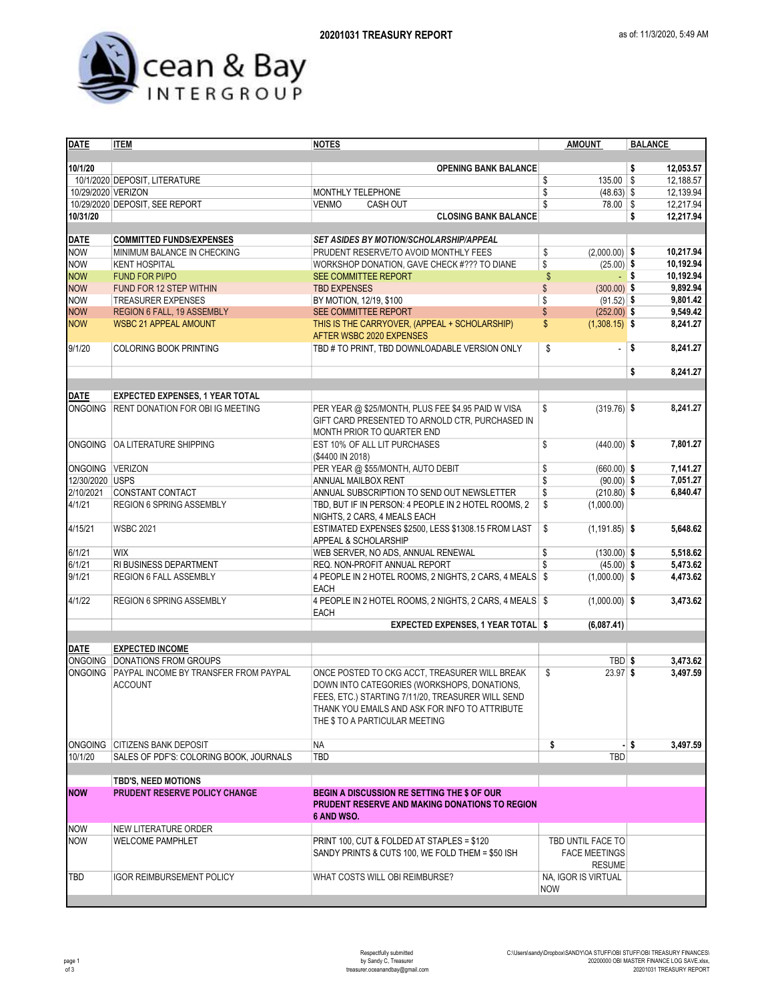



| <b>DATE</b>        | <b>ITEM</b>                                             | <b>NOTES</b>                                                                                                                                                                                                                          | <b>AMOUNT</b>                                              | <b>BALANCE</b>   |
|--------------------|---------------------------------------------------------|---------------------------------------------------------------------------------------------------------------------------------------------------------------------------------------------------------------------------------------|------------------------------------------------------------|------------------|
|                    |                                                         |                                                                                                                                                                                                                                       |                                                            |                  |
| 10/1/20            |                                                         | <b>OPENING BANK BALANCE</b>                                                                                                                                                                                                           |                                                            | 12,053.57<br>\$  |
|                    | 10/1/2020 DEPOSIT, LITERATURE                           |                                                                                                                                                                                                                                       | 135.00<br>\$                                               | \$<br>12.188.57  |
| 10/29/2020 VERIZON |                                                         | MONTHLY TELEPHONE                                                                                                                                                                                                                     | \$<br>$(48.63)$ \$                                         | 12,139.94        |
|                    | 10/29/2020 DEPOSIT, SEE REPORT                          | <b>VENMO</b><br><b>CASH OUT</b>                                                                                                                                                                                                       | \$<br>78.00                                                | 12,217.94<br>\$  |
| 10/31/20           |                                                         | <b>CLOSING BANK BALANCE</b>                                                                                                                                                                                                           |                                                            | \$<br>12,217.94  |
|                    |                                                         |                                                                                                                                                                                                                                       |                                                            |                  |
| <b>DATE</b>        | <b>COMMITTED FUNDS/EXPENSES</b>                         | <b>SET ASIDES BY MOTION/SCHOLARSHIP/APPEAL</b>                                                                                                                                                                                        |                                                            |                  |
|                    |                                                         |                                                                                                                                                                                                                                       |                                                            |                  |
| <b>NOW</b>         | MINIMUM BALANCE IN CHECKING                             | PRUDENT RESERVE/TO AVOID MONTHLY FEES                                                                                                                                                                                                 | \$<br>$(2,000.00)$ \$                                      | 10,217.94        |
| <b>NOW</b>         | <b>KENT HOSPITAL</b>                                    | WORKSHOP DONATION, GAVE CHECK #??? TO DIANE                                                                                                                                                                                           | \$<br>$(25.00)$ \$                                         | 10,192.94        |
| <b>NOW</b>         | <b>FUND FOR PI/PO</b>                                   | <b>SEE COMMITTEE REPORT</b>                                                                                                                                                                                                           | $\frac{1}{2}$<br>$-5$                                      | 10,192.94        |
| <b>NOW</b>         | FUND FOR 12 STEP WITHIN                                 | <b>TBD EXPENSES</b>                                                                                                                                                                                                                   | \$<br>$(300.00)$ \$                                        | 9,892.94         |
| <b>NOW</b>         | <b>TREASURER EXPENSES</b>                               | BY MOTION, 12/19, \$100                                                                                                                                                                                                               | \$<br>$(91.52)$ \$                                         | 9,801.42         |
| <b>NOW</b>         | REGION 6 FALL, 19 ASSEMBLY                              | SEE COMMITTEE REPORT                                                                                                                                                                                                                  | \$<br>$(252.00)$ \$                                        | 9,549.42         |
| <b>NOW</b>         | <b>WSBC 21 APPEAL AMOUNT</b>                            | THIS IS THE CARRYOVER, (APPEAL + SCHOLARSHIP)                                                                                                                                                                                         | \$<br>$(1,308.15)$ \$                                      | 8,241.27         |
|                    |                                                         | AFTER WSBC 2020 EXPENSES                                                                                                                                                                                                              |                                                            |                  |
| 9/1/20             | COLORING BOOK PRINTING                                  | TBD # TO PRINT, TBD DOWNLOADABLE VERSION ONLY                                                                                                                                                                                         | \$<br>$\blacksquare$                                       | 8,241.27<br>\$   |
|                    |                                                         |                                                                                                                                                                                                                                       |                                                            | \$<br>8,241.27   |
|                    | <b>EXPECTED EXPENSES, 1 YEAR TOTAL</b>                  |                                                                                                                                                                                                                                       |                                                            |                  |
| <b>DATE</b>        |                                                         |                                                                                                                                                                                                                                       |                                                            | 8.241.27         |
|                    | ONGOING RENT DONATION FOR OBLIG MEETING                 | PER YEAR @ \$25/MONTH, PLUS FEE \$4.95 PAID W VISA<br>GIFT CARD PRESENTED TO ARNOLD CTR, PURCHASED IN<br>MONTH PRIOR TO QUARTER END                                                                                                   | \$<br>$(319.76)$ \$                                        |                  |
| <b>ONGOING</b>     | OA LITERATURE SHIPPING                                  | EST 10% OF ALL LIT PURCHASES<br>(\$4400 IN 2018)                                                                                                                                                                                      | \$<br>$(440.00)$ \$                                        | 7,801.27         |
| ONGOING VERIZON    |                                                         | PER YEAR @ \$55/MONTH, AUTO DEBIT                                                                                                                                                                                                     | \$<br>$(660.00)$ \$                                        | 7,141.27         |
| 12/30/2020 USPS    |                                                         | ANNUAL MAILBOX RENT                                                                                                                                                                                                                   | \$<br>$(90.00)$ \$                                         | 7,051.27         |
| 2/10/2021          | CONSTANT CONTACT                                        | ANNUAL SUBSCRIPTION TO SEND OUT NEWSLETTER                                                                                                                                                                                            | \$<br>$(210.80)$ \$                                        | 6,840.47         |
| 4/1/21             | REGION 6 SPRING ASSEMBLY                                | TBD, BUT IF IN PERSON: 4 PEOPLE IN 2 HOTEL ROOMS, 2                                                                                                                                                                                   | \$<br>(1,000.00)                                           |                  |
| 4/15/21            | <b>WSBC 2021</b>                                        | NIGHTS, 2 CARS, 4 MEALS EACH<br>ESTIMATED EXPENSES \$2500, LESS \$1308.15 FROM LAST                                                                                                                                                   | \$<br>$(1, 191.85)$ \$                                     | 5,648.62         |
|                    |                                                         | APPEAL & SCHOLARSHIP                                                                                                                                                                                                                  |                                                            |                  |
| 6/1/21             | <b>WIX</b>                                              | WEB SERVER, NO ADS, ANNUAL RENEWAL                                                                                                                                                                                                    | \$<br>$(130.00)$ \$                                        | 5,518.62         |
| 6/1/21             | RI BUSINESS DEPARTMENT                                  | REQ. NON-PROFIT ANNUAL REPORT                                                                                                                                                                                                         | \$<br>$(45.00)$ \$                                         | 5,473.62         |
| 9/1/21             | <b>REGION 6 FALL ASSEMBLY</b>                           | 4 PEOPLE IN 2 HOTEL ROOMS, 2 NIGHTS, 2 CARS, 4 MEALS \$<br><b>EACH</b>                                                                                                                                                                | $(1,000.00)$ \$                                            | 4,473.62         |
| 4/1/22             | <b>REGION 6 SPRING ASSEMBLY</b>                         | 4 PEOPLE IN 2 HOTEL ROOMS, 2 NIGHTS, 2 CARS, 4 MEALS \$<br>EACH                                                                                                                                                                       | $(1,000.00)$ \$                                            | 3,473.62         |
|                    |                                                         | <b>EXPECTED EXPENSES, 1 YEAR TOTAL \$</b>                                                                                                                                                                                             | (6,087.41)                                                 |                  |
|                    |                                                         |                                                                                                                                                                                                                                       |                                                            |                  |
| <b>DATE</b>        | <b>EXPECTED INCOME</b>                                  |                                                                                                                                                                                                                                       |                                                            |                  |
|                    | ONGOING DONATIONS FROM GROUPS                           |                                                                                                                                                                                                                                       | TBD \$                                                     | 3,473.62         |
| <b>ONGOING</b>     | PAYPAL INCOME BY TRANSFER FROM PAYPAL<br><b>ACCOUNT</b> | ONCE POSTED TO CKG ACCT, TREASURER WILL BREAK<br>DOWN INTO CATEGORIES (WORKSHOPS, DONATIONS,<br>FEES, ETC.) STARTING 7/11/20, TREASURER WILL SEND<br>THANK YOU EMAILS AND ASK FOR INFO TO ATTRIBUTE<br>THE \$ TO A PARTICULAR MEETING | \$<br>23.97 \$                                             | 3,497.59         |
|                    | ONGOING CITIZENS BANK DEPOSIT                           | NA                                                                                                                                                                                                                                    | \$                                                         | - \$<br>3,497.59 |
| 10/1/20            | SALES OF PDF'S: COLORING BOOK, JOURNALS                 | TBD                                                                                                                                                                                                                                   | <b>TBD</b>                                                 |                  |
|                    |                                                         |                                                                                                                                                                                                                                       |                                                            |                  |
|                    | <b>TBD'S, NEED MOTIONS</b>                              |                                                                                                                                                                                                                                       |                                                            |                  |
| <b>NOW</b>         | PRUDENT RESERVE POLICY CHANGE                           | <b>BEGIN A DISCUSSION RE SETTING THE \$ OF OUR</b>                                                                                                                                                                                    |                                                            |                  |
|                    |                                                         | <b>PRUDENT RESERVE AND MAKING DONATIONS TO REGION</b><br>6 AND WSO.                                                                                                                                                                   |                                                            |                  |
| <b>NOW</b>         | NEW LITERATURE ORDER                                    |                                                                                                                                                                                                                                       |                                                            |                  |
| <b>NOW</b>         | <b>WELCOME PAMPHLET</b>                                 | PRINT 100, CUT & FOLDED AT STAPLES = \$120<br>SANDY PRINTS & CUTS 100, WE FOLD THEM = \$50 ISH                                                                                                                                        | TBD UNTIL FACE TO<br><b>FACE MEETINGS</b><br><b>RESUME</b> |                  |
| TBD                | <b>IGOR REIMBURSEMENT POLICY</b>                        | WHAT COSTS WILL OBI REIMBURSE?                                                                                                                                                                                                        | NA, IGOR IS VIRTUAL<br><b>NOW</b>                          |                  |
|                    |                                                         |                                                                                                                                                                                                                                       |                                                            |                  |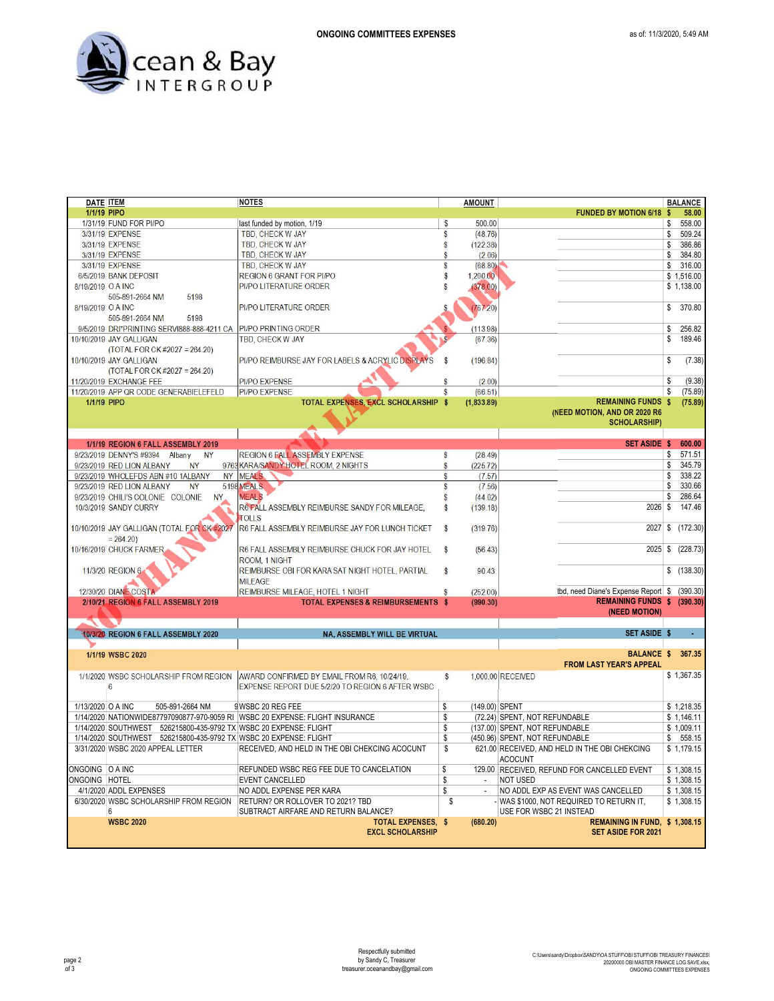

| DATE <b>ITEM</b>   |                                                                   | <b>NOTES</b>                                                                  |               | <b>AMOUNT</b>  |                                               |          | <b>BALANCE</b> |
|--------------------|-------------------------------------------------------------------|-------------------------------------------------------------------------------|---------------|----------------|-----------------------------------------------|----------|----------------|
| 1/1/19 PIPO        |                                                                   |                                                                               |               |                | <b>FUNDED BY MOTION 6/18</b>                  | ŝ.       | 58.00          |
|                    | 1/31/19 FUND FOR PI/PO                                            | last funded by motion, 1/19                                                   | \$            | 500.00         |                                               | \$       | 558.00         |
|                    | 3/31/19 EXPENSE                                                   | TBD, CHECK W JAY                                                              | \$            | (48.76)        |                                               | \$       | 509.24         |
|                    | 3/31/19 EXPENSE                                                   | TBD, CHECK W JAY                                                              | \$            | (122.38)       |                                               | \$       | 386.86         |
|                    | 3/31/19 EXPENSE                                                   | TBD, CHECK W JAY                                                              | $\mathbf{\$}$ | (2.06)         |                                               |          | 384.80         |
|                    | 3/31/19 EXPENSE                                                   | TBD, CHECK W JAY                                                              | $\mathbb{S}$  | (68.80)        |                                               | \$<br>\$ | 316.00         |
|                    |                                                                   |                                                                               |               |                |                                               |          |                |
|                    | 6/5/2019 BANK DEPOSIT                                             | REGION 6 GRANT FOR PI/PO                                                      | \$            | 1,200.00       |                                               |          | \$1,516.00     |
| 8/19/2019 O A INC  |                                                                   | PI/PO LITERATURE ORDER                                                        | \$            | (378.00)       |                                               |          | \$1,138.00     |
|                    | 505-891-2664 NM<br>5198                                           |                                                                               |               |                |                                               |          |                |
| 8/19/2019 O A INC  |                                                                   | PI/PO LITERATURE ORDER                                                        |               | (767.20)       |                                               | \$       | 370.80         |
|                    | 505-891-2664 NM<br>5198                                           |                                                                               |               |                |                                               |          |                |
|                    | 9/5/2019 DRI*PRINTING SERVI888-888-4211 CA PI/PO PRINTING ORDER   |                                                                               |               | (113.98)       |                                               | \$       | 256.82         |
|                    | 10/10/2019 JAY GALLIGAN                                           | TBD, CHECK W JAY                                                              |               | (67.36)        |                                               | \$       | 189.46         |
|                    | $(TOTAL FOR CK #2027 = 264.20)$                                   |                                                                               |               |                |                                               |          |                |
|                    | 10/10/2019 JAY GALLIGAN                                           | PI/PO REIMBURSE JAY FOR LABELS & ACRYLIC DISPLAYS                             | $\sqrt[6]{3}$ | (196.84)       |                                               | \$       | (7.38)         |
|                    | $(TOTAL FOR CK #2027 = 264.20)$                                   |                                                                               |               |                |                                               |          |                |
|                    |                                                                   |                                                                               |               |                |                                               |          |                |
|                    | 11/20/2019 EXCHANGE FEE                                           | <b>PI/PO EXPENSE</b>                                                          | \$            | (2.00)         |                                               | \$       | (9.38)         |
|                    | 11/20/2019 APP QR CODE GENERABIELEFELD                            | <b>PI/PO EXPENSE</b>                                                          | \$            | (66.51)        |                                               | \$       | (75.89)        |
| <b>1/1/19 PIPO</b> |                                                                   | TOTAL EXPENSES, EXCL SCHOLARSHIP \$                                           |               | (1,833.89)     | <b>REMAINING FUNDS \$</b>                     |          | (75.89)        |
|                    |                                                                   |                                                                               |               |                | (NEED MOTION, AND OR 2020 R6                  |          |                |
|                    |                                                                   |                                                                               |               |                | <b>SCHOLARSHIP)</b>                           |          |                |
|                    |                                                                   |                                                                               |               |                |                                               |          |                |
|                    | 1/1/19 REGION 6 FALL ASSEMBLY 2019                                |                                                                               |               |                | <b>SET ASIDE \$</b>                           |          | 600.00         |
|                    | 9/23/2019 DENNY'S #9394 Albany<br><b>NY</b>                       | REGION 6 FALL ASSEMBLY EXPENSE                                                | \$            | (28.49)        |                                               | \$       | 571.51         |
|                    | 9/23/2019 RED LION ALBANY<br><b>NY</b>                            | 9763 KARA/SANDY HOTEL ROOM, 2 NIGHTS                                          | \$            | (225.72)       |                                               | \$       | 345.79         |
|                    | 9/23/2019 WHOLEFDS ABN #10 1ALBANY                                | NY MEALS                                                                      | \$            | (7.57)         |                                               | \$       | 338.22         |
|                    | 9/23/2019 RED LION ALBANY<br><b>NY</b>                            | <b>5198 MEALS</b>                                                             | \$            | (7.56)         |                                               | \$       | 330.66         |
|                    |                                                                   |                                                                               |               |                |                                               |          |                |
|                    | 9/23/2019 CHILI'S COLONIE COLONIE<br><b>NY</b>                    | <b>MEALS</b>                                                                  | \$            | (44.02)        |                                               | \$       | 286.64         |
|                    | 10/3/2019 SANDY CURRY                                             | R6 FALL ASSEMBLY REIMBURSE SANDY FOR MILEAGE,                                 | \$            | (139.18)       | 2026                                          | \$       | 147.46         |
|                    |                                                                   | <b>TOLLS</b>                                                                  |               |                |                                               |          |                |
|                    | 10/10/2019 JAY GALLIGAN (TOTAL FOR CK #2027                       | R6 FALL ASSEMBLY REIMBURSE JAY FOR LUNCH TICKET                               | $\mathcal{S}$ | (319.76)       | 2027                                          | \$       | (172.30)       |
|                    | $= 264.20$                                                        |                                                                               |               |                |                                               |          |                |
|                    | 10/16/2019 CHUCK FARMER                                           | R6 FALL ASSEMBLY REIMBURSE CHUCK FOR JAY HOTEL                                | \$            | (56.43)        | 2025                                          | \$       | (228.73)       |
|                    |                                                                   | ROOM, 1 NIGHT                                                                 |               |                |                                               |          |                |
|                    | 11/3/20 REGION 6                                                  | REIMBURSE OBI FOR KARA SAT NIGHT HOTEL, PARTIAL                               | \$            | 90.43          |                                               |          | \$(138.30)     |
|                    |                                                                   | <b>MILEAGE</b>                                                                |               |                |                                               |          |                |
|                    | 12/30/20 DIANE COSTA                                              | REIMBURSE MILEAGE, HOTEL 1 NIGHT                                              | $\mathbf{\$}$ | (252.00)       | tbd, need Diane's Expense Report \$ (390.30)  |          |                |
|                    | 2/10/21 REGION 6 FALL ASSEMBLY 2019                               |                                                                               |               |                |                                               |          |                |
|                    |                                                                   | <b>TOTAL EXPENSES &amp; REIMBURSEMENTS \$</b>                                 |               | (990.30)       | REMAINING FUNDS \$ (390.30)                   |          |                |
|                    |                                                                   |                                                                               |               |                | (NEED MOTION)                                 |          |                |
|                    |                                                                   |                                                                               |               |                |                                               |          |                |
|                    | 10/3/20 REGION 6 FALL ASSEMBLY 2020                               | NA, ASSEMBLY WILL BE VIRTUAL                                                  |               |                | <b>SET ASIDE</b>                              |          |                |
|                    |                                                                   |                                                                               |               |                |                                               |          |                |
|                    | 1/1/19 WSBC 2020                                                  |                                                                               |               |                | <b>BALANCE \$ 367.35</b>                      |          |                |
|                    |                                                                   |                                                                               |               |                | <b>FROM LAST YEAR'S APPEAL</b>                |          |                |
|                    | 1/1/2020 WSBC SCHOLARSHIP FROM REGION                             | AWARD CONFIRMED BY EMAIL FROM R6, 10/24/19,                                   | $\frac{3}{2}$ |                | 1,000.00 RECEIVED                             |          | \$1,367.35     |
|                    | $6\phantom{.}6$                                                   | EXPENSE REPORT DUE 5/2/20 TO REGION 6 AFTER WSBC                              |               |                |                                               |          |                |
|                    |                                                                   |                                                                               |               |                |                                               |          |                |
| 1/13/2020 O A INC  | 505-891-2664 NM                                                   | 9 WSBC 20 REG FEE                                                             | \$            | (149.00) SPENT |                                               |          | \$1,218.35     |
|                    |                                                                   |                                                                               |               |                |                                               |          |                |
|                    |                                                                   | 1/14/2020 NATIONWIDE87797090877-970-9059 RI WSBC 20 EXPENSE: FLIGHT INSURANCE | \$            |                | (72.24) SPENT, NOT REFUNDABLE                 |          | \$1,146.11     |
|                    | 1/14/2020 SOUTHWEST 526215800-435-9792 TX WSBC 20 EXPENSE: FLIGHT |                                                                               | \$            |                | (137.00) SPENT, NOT REFUNDABLE                |          | \$1,009.11     |
|                    | 1/14/2020 SOUTHWEST                                               | 526215800-435-9792 TX WSBC 20 EXPENSE: FLIGHT                                 | \$            |                | (450.96) SPENT, NOT REFUNDABLE                | \$       | 558.15         |
|                    | 3/31/2020 WSBC 2020 APPEAL LETTER                                 | RECEIVED, AND HELD IN THE OBI CHEKCING ACOCUNT                                | \$            |                | 621.00 RECEIVED, AND HELD IN THE OBI CHEKCING |          | \$1,179.15     |
|                    |                                                                   |                                                                               |               |                | <b>ACOCUNT</b>                                |          |                |
| ONGOING O A INC    |                                                                   | REFUNDED WSBC REG FEE DUE TO CANCELATION                                      | \$            |                | 129.00 RECEIVED, REFUND FOR CANCELLED EVENT   |          | \$1,308.15     |
| ONGOING HOTEL      |                                                                   | <b>EVENT CANCELLED</b>                                                        | \$            |                | <b>NOT USED</b>                               |          | \$1,308.15     |
|                    | 4/1/2020 ADDL EXPENSES                                            | NO ADDL EXPENSE PER KARA                                                      | \$            |                | NO ADDL EXP AS EVENT WAS CANCELLED            |          | \$1,308.15     |
|                    | 6/30/2020 WSBC SCHOLARSHIP FROM REGION                            | RETURN? OR ROLLOVER TO 2021? TBD                                              | \$            |                | WAS \$1000, NOT REQUIRED TO RETURN IT,        |          | \$1,308.15     |
|                    | 6                                                                 | SUBTRACT AIRFARE AND RETURN BALANCE?                                          |               |                | USE FOR WSBC 21 INSTEAD                       |          |                |
|                    | <b>WSBC 2020</b>                                                  | <b>TOTAL EXPENSES, \$</b>                                                     |               |                | REMAINING IN FUND, \$1,308.15                 |          |                |
|                    |                                                                   |                                                                               |               | (680.20)       |                                               |          |                |
|                    |                                                                   | <b>EXCL SCHOLARSHIP</b>                                                       |               |                | <b>SET ASIDE FOR 2021</b>                     |          |                |
|                    |                                                                   |                                                                               |               |                |                                               |          |                |